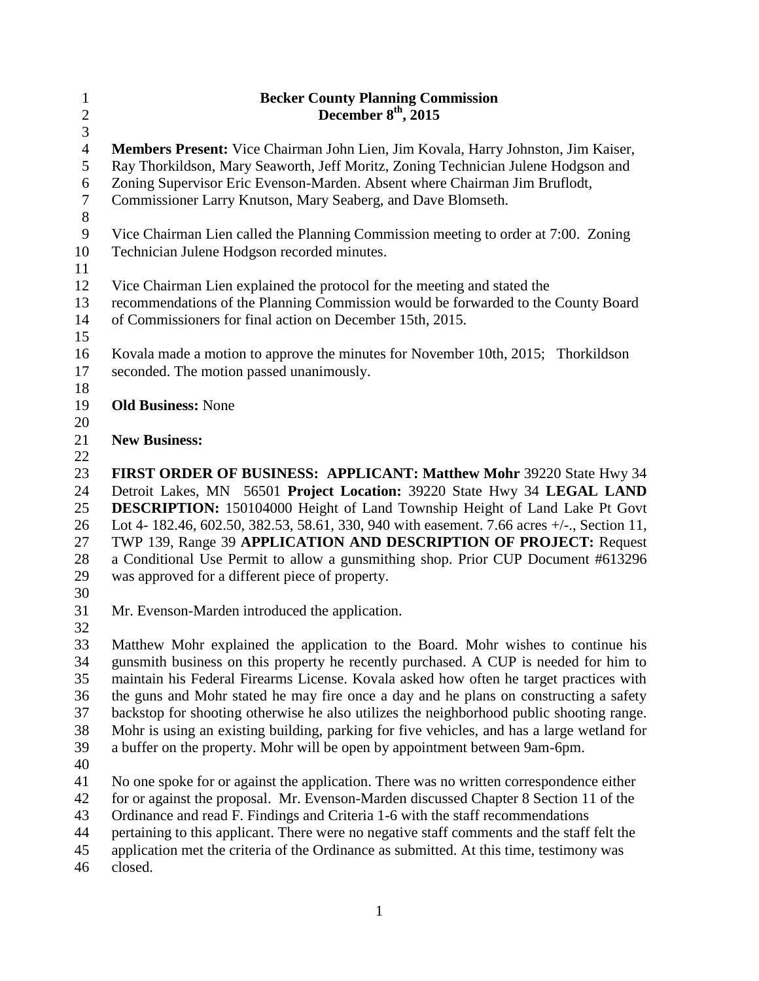| $\mathbf{1}$            | <b>Becker County Planning Commission</b>                                                                                                                                          |
|-------------------------|-----------------------------------------------------------------------------------------------------------------------------------------------------------------------------------|
| $\overline{c}$          | December $8th$ , 2015                                                                                                                                                             |
| $\mathfrak{Z}$          |                                                                                                                                                                                   |
| $\overline{4}$          | <b>Members Present:</b> Vice Chairman John Lien, Jim Kovala, Harry Johnston, Jim Kaiser,                                                                                          |
| 5                       | Ray Thorkildson, Mary Seaworth, Jeff Moritz, Zoning Technician Julene Hodgson and                                                                                                 |
| 6                       | Zoning Supervisor Eric Evenson-Marden. Absent where Chairman Jim Bruflodt,                                                                                                        |
| $\tau$                  | Commissioner Larry Knutson, Mary Seaberg, and Dave Blomseth.                                                                                                                      |
| $8\,$<br>$\overline{9}$ |                                                                                                                                                                                   |
| 10                      | Vice Chairman Lien called the Planning Commission meeting to order at 7:00. Zoning<br>Technician Julene Hodgson recorded minutes.                                                 |
| 11                      |                                                                                                                                                                                   |
| 12                      | Vice Chairman Lien explained the protocol for the meeting and stated the                                                                                                          |
| 13                      | recommendations of the Planning Commission would be forwarded to the County Board                                                                                                 |
| 14                      | of Commissioners for final action on December 15th, 2015.                                                                                                                         |
| 15                      |                                                                                                                                                                                   |
| 16                      | Kovala made a motion to approve the minutes for November 10th, 2015; Thorkildson                                                                                                  |
| 17                      | seconded. The motion passed unanimously.                                                                                                                                          |
| 18                      |                                                                                                                                                                                   |
| 19                      | <b>Old Business: None</b>                                                                                                                                                         |
| 20                      |                                                                                                                                                                                   |
| 21                      | <b>New Business:</b>                                                                                                                                                              |
| 22                      |                                                                                                                                                                                   |
| 23                      | FIRST ORDER OF BUSINESS: APPLICANT: Matthew Mohr 39220 State Hwy 34                                                                                                               |
| 24                      | Detroit Lakes, MN 56501 Project Location: 39220 State Hwy 34 LEGAL LAND                                                                                                           |
| 25                      | DESCRIPTION: 150104000 Height of Land Township Height of Land Lake Pt Govt                                                                                                        |
| 26                      | Lot 4-182.46, 602.50, 382.53, 58.61, 330, 940 with easement. 7.66 acres +/-., Section 11,                                                                                         |
| 27                      | TWP 139, Range 39 APPLICATION AND DESCRIPTION OF PROJECT: Request                                                                                                                 |
| 28                      | a Conditional Use Permit to allow a gunsmithing shop. Prior CUP Document #613296                                                                                                  |
| 29                      | was approved for a different piece of property.                                                                                                                                   |
| 30                      |                                                                                                                                                                                   |
| 31                      | Mr. Evenson-Marden introduced the application.                                                                                                                                    |
| 32                      |                                                                                                                                                                                   |
| 33                      | Matthew Mohr explained the application to the Board. Mohr wishes to continue his                                                                                                  |
| 34                      | gunsmith business on this property he recently purchased. A CUP is needed for him to                                                                                              |
| 35                      | maintain his Federal Firearms License. Kovala asked how often he target practices with                                                                                            |
| 36<br>37                | the guns and Mohr stated he may fire once a day and he plans on constructing a safety<br>backstop for shooting otherwise he also utilizes the neighborhood public shooting range. |
| 38                      | Mohr is using an existing building, parking for five vehicles, and has a large wetland for                                                                                        |
| 39                      | a buffer on the property. Mohr will be open by appointment between 9am-6pm.                                                                                                       |
| 40                      |                                                                                                                                                                                   |
| 41                      | No one spoke for or against the application. There was no written correspondence either                                                                                           |
| 42                      | for or against the proposal. Mr. Evenson-Marden discussed Chapter 8 Section 11 of the                                                                                             |
| 43                      | Ordinance and read F. Findings and Criteria 1-6 with the staff recommendations                                                                                                    |
| 44                      | pertaining to this applicant. There were no negative staff comments and the staff felt the                                                                                        |
| 45                      | application met the criteria of the Ordinance as submitted. At this time, testimony was                                                                                           |
| $46\,$                  | closed.                                                                                                                                                                           |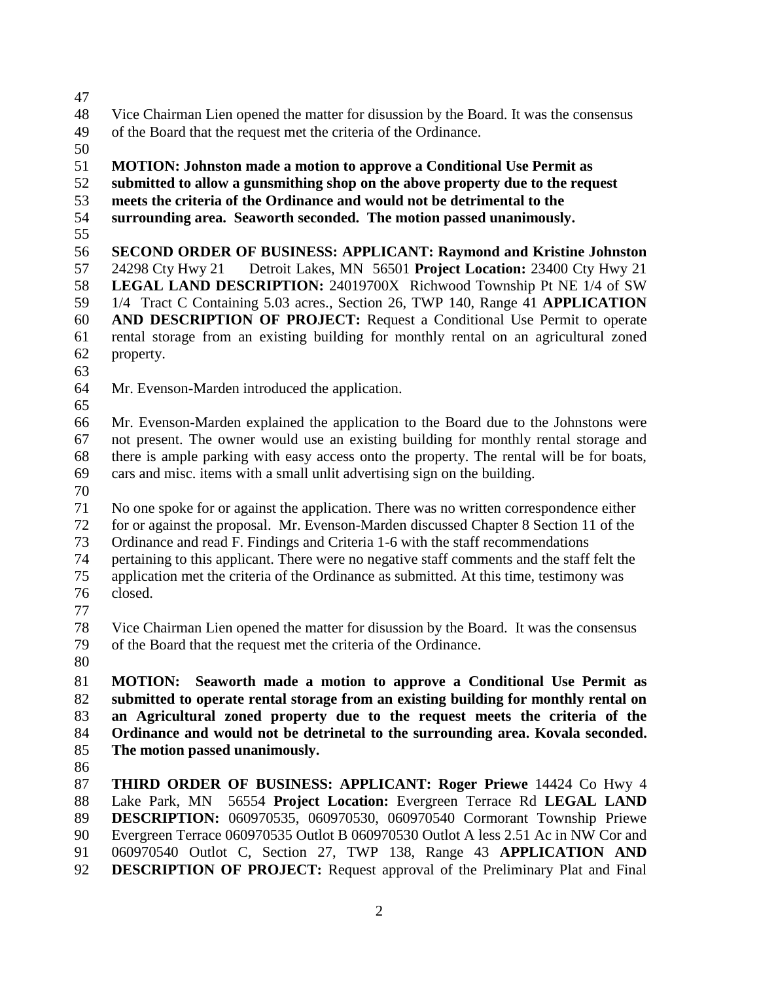- Vice Chairman Lien opened the matter for disussion by the Board. It was the consensus
- of the Board that the request met the criteria of the Ordinance.
- 

## **MOTION: Johnston made a motion to approve a Conditional Use Permit as**

- **submitted to allow a gunsmithing shop on the above property due to the request**
- **meets the criteria of the Ordinance and would not be detrimental to the**
- **surrounding area. Seaworth seconded. The motion passed unanimously.**
- 

 **SECOND ORDER OF BUSINESS: APPLICANT: Raymond and Kristine Johnston** 24298 Cty Hwy 21 Detroit Lakes, MN 56501 **Project Location:** 23400 Cty Hwy 21 **LEGAL LAND DESCRIPTION:** 24019700X Richwood Township Pt NE 1/4 of SW 1/4 Tract C Containing 5.03 acres., Section 26, TWP 140, Range 41 **APPLICATION AND DESCRIPTION OF PROJECT:** Request a Conditional Use Permit to operate rental storage from an existing building for monthly rental on an agricultural zoned property.

- 
- Mr. Evenson-Marden introduced the application.
- 

 Mr. Evenson-Marden explained the application to the Board due to the Johnstons were not present. The owner would use an existing building for monthly rental storage and there is ample parking with easy access onto the property. The rental will be for boats, cars and misc. items with a small unlit advertising sign on the building.

 No one spoke for or against the application. There was no written correspondence either for or against the proposal. Mr. Evenson-Marden discussed Chapter 8 Section 11 of the Ordinance and read F. Findings and Criteria 1-6 with the staff recommendations pertaining to this applicant. There were no negative staff comments and the staff felt the application met the criteria of the Ordinance as submitted. At this time, testimony was closed.

 Vice Chairman Lien opened the matter for disussion by the Board. It was the consensus of the Board that the request met the criteria of the Ordinance.

 **MOTION: Seaworth made a motion to approve a Conditional Use Permit as submitted to operate rental storage from an existing building for monthly rental on an Agricultural zoned property due to the request meets the criteria of the Ordinance and would not be detrinetal to the surrounding area. Kovala seconded. The motion passed unanimously.**

 **THIRD ORDER OF BUSINESS: APPLICANT: Roger Priewe** 14424 Co Hwy 4 Lake Park, MN 56554 **Project Location:** Evergreen Terrace Rd **LEGAL LAND DESCRIPTION:** 060970535, 060970530, 060970540 Cormorant Township Priewe Evergreen Terrace 060970535 Outlot B 060970530 Outlot A less 2.51 Ac in NW Cor and 060970540 Outlot C, Section 27, TWP 138, Range 43 **APPLICATION AND DESCRIPTION OF PROJECT:** Request approval of the Preliminary Plat and Final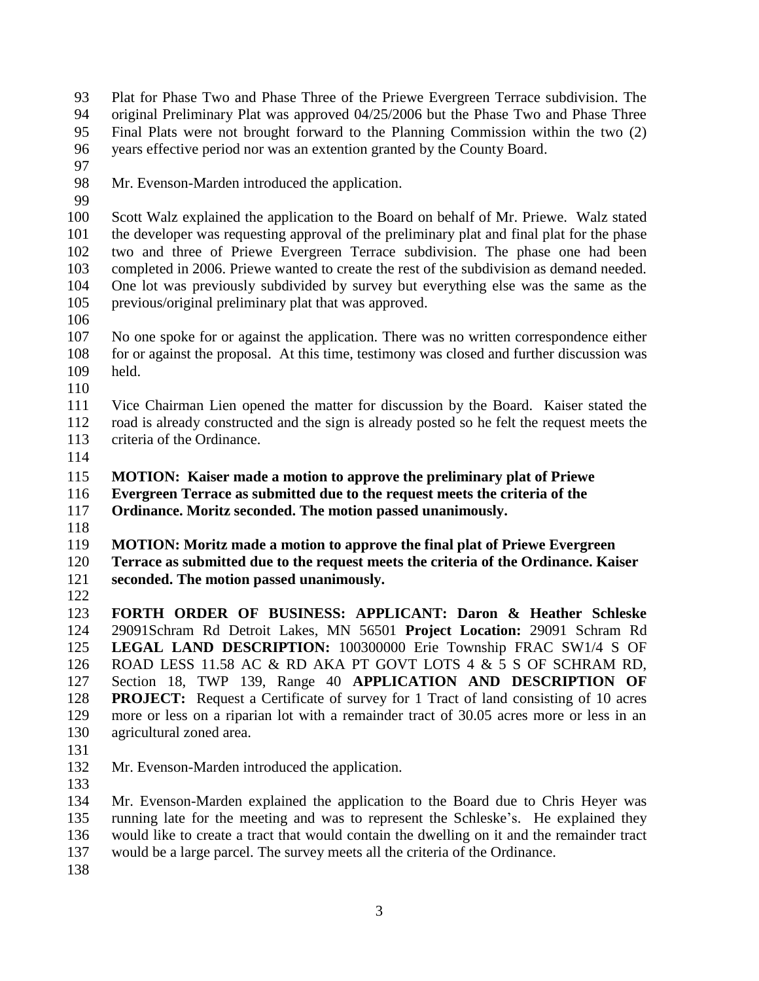- Plat for Phase Two and Phase Three of the Priewe Evergreen Terrace subdivision. The original Preliminary Plat was approved 04/25/2006 but the Phase Two and Phase Three Final Plats were not brought forward to the Planning Commission within the two (2)
- years effective period nor was an extention granted by the County Board.
- 
- Mr. Evenson-Marden introduced the application.
- 

 Scott Walz explained the application to the Board on behalf of Mr. Priewe. Walz stated the developer was requesting approval of the preliminary plat and final plat for the phase two and three of Priewe Evergreen Terrace subdivision. The phase one had been completed in 2006. Priewe wanted to create the rest of the subdivision as demand needed. One lot was previously subdivided by survey but everything else was the same as the previous/original preliminary plat that was approved.

 No one spoke for or against the application. There was no written correspondence either for or against the proposal. At this time, testimony was closed and further discussion was held.

 Vice Chairman Lien opened the matter for discussion by the Board. Kaiser stated the road is already constructed and the sign is already posted so he felt the request meets the criteria of the Ordinance.

**MOTION: Kaiser made a motion to approve the preliminary plat of Priewe** 

**Evergreen Terrace as submitted due to the request meets the criteria of the** 

**Ordinance. Moritz seconded. The motion passed unanimously.** 

**MOTION: Moritz made a motion to approve the final plat of Priewe Evergreen** 

 **Terrace as submitted due to the request meets the criteria of the Ordinance. Kaiser seconded. The motion passed unanimously.** 

 **FORTH ORDER OF BUSINESS: APPLICANT: Daron & Heather Schleske**  29091Schram Rd Detroit Lakes, MN 56501 **Project Location:** 29091 Schram Rd **LEGAL LAND DESCRIPTION:** 100300000 Erie Township FRAC SW1/4 S OF ROAD LESS 11.58 AC & RD AKA PT GOVT LOTS 4 & 5 S OF SCHRAM RD, Section 18, TWP 139, Range 40 **APPLICATION AND DESCRIPTION OF PROJECT:** Request a Certificate of survey for 1 Tract of land consisting of 10 acres more or less on a riparian lot with a remainder tract of 30.05 acres more or less in an agricultural zoned area.

- 
- Mr. Evenson-Marden introduced the application.
- 

 Mr. Evenson-Marden explained the application to the Board due to Chris Heyer was running late for the meeting and was to represent the Schleske's. He explained they would like to create a tract that would contain the dwelling on it and the remainder tract would be a large parcel. The survey meets all the criteria of the Ordinance.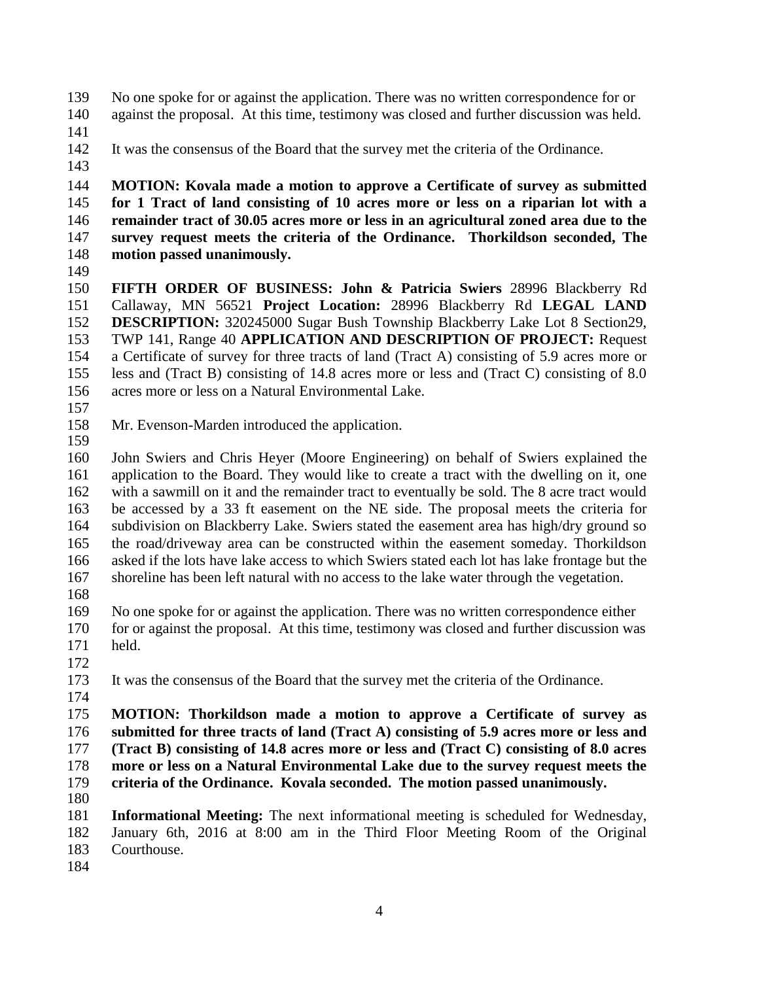No one spoke for or against the application. There was no written correspondence for or against the proposal. At this time, testimony was closed and further discussion was held.

- 
- It was the consensus of the Board that the survey met the criteria of the Ordinance.
- 

 **MOTION: Kovala made a motion to approve a Certificate of survey as submitted for 1 Tract of land consisting of 10 acres more or less on a riparian lot with a remainder tract of 30.05 acres more or less in an agricultural zoned area due to the survey request meets the criteria of the Ordinance. Thorkildson seconded, The motion passed unanimously.**

 **FIFTH ORDER OF BUSINESS: John & Patricia Swiers** 28996 Blackberry Rd Callaway, MN 56521 **Project Location:** 28996 Blackberry Rd **LEGAL LAND DESCRIPTION:** 320245000 Sugar Bush Township Blackberry Lake Lot 8 Section29, TWP 141, Range 40 **APPLICATION AND DESCRIPTION OF PROJECT:** Request a Certificate of survey for three tracts of land (Tract A) consisting of 5.9 acres more or less and (Tract B) consisting of 14.8 acres more or less and (Tract C) consisting of 8.0 acres more or less on a Natural Environmental Lake.

- 
- Mr. Evenson-Marden introduced the application.
- John Swiers and Chris Heyer (Moore Engineering) on behalf of Swiers explained the application to the Board. They would like to create a tract with the dwelling on it, one with a sawmill on it and the remainder tract to eventually be sold. The 8 acre tract would be accessed by a 33 ft easement on the NE side. The proposal meets the criteria for subdivision on Blackberry Lake. Swiers stated the easement area has high/dry ground so the road/driveway area can be constructed within the easement someday. Thorkildson asked if the lots have lake access to which Swiers stated each lot has lake frontage but the shoreline has been left natural with no access to the lake water through the vegetation.
- 
- No one spoke for or against the application. There was no written correspondence either for or against the proposal. At this time, testimony was closed and further discussion was held.
- 

It was the consensus of the Board that the survey met the criteria of the Ordinance.

 **MOTION: Thorkildson made a motion to approve a Certificate of survey as submitted for three tracts of land (Tract A) consisting of 5.9 acres more or less and (Tract B) consisting of 14.8 acres more or less and (Tract C) consisting of 8.0 acres more or less on a Natural Environmental Lake due to the survey request meets the criteria of the Ordinance. Kovala seconded. The motion passed unanimously.** 

 **Informational Meeting:** The next informational meeting is scheduled for Wednesday, January 6th, 2016 at 8:00 am in the Third Floor Meeting Room of the Original Courthouse.